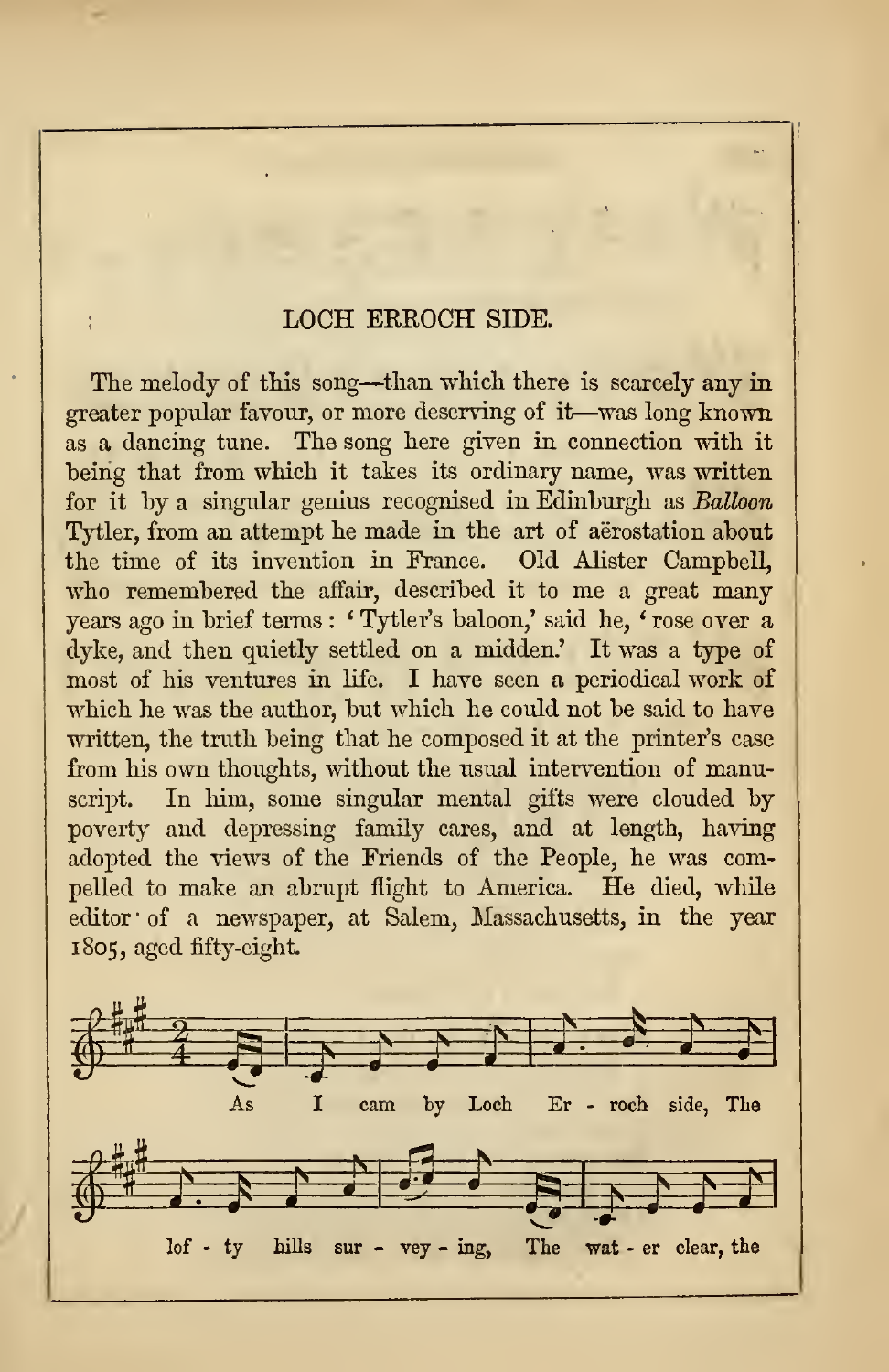## LOCH ERROCH SIDE.

The melody of this song—than which there is scarcely any in greater popular favour, or more deserving of it—was long known as a dancing tune. The song here given in connection with it being that from which it takes its ordinary name, was written for it by a singular genius recognised in Edinburgh as Balloon Tytler, from an attempt he made in the art of aerostation about the time of its invention in France. Old Alister Campbell, who remembered the affair, described it to me <sup>a</sup> great many years ago in brief terms : ' Tytler's baloon,' said he, ' rose over a dyke, and then quietly settled on a midden.' It was a type of most of his ventures in life. I have seen a periodical work of which he was the author, but which he could not be said to have written, the truth being that he composed it at the printer's case from his own thoughts, without the usual intervention of manuscript. In him, some singular mental gifts were clouded by poverty and depressing family cares, and at length, having adopted the views of the Friends of the People, he was compelled to make an abrupt flight to America. He died, while editor' of a newspaper, at Salem, Massachusetts, in the year 1805, aged fifty-eight.

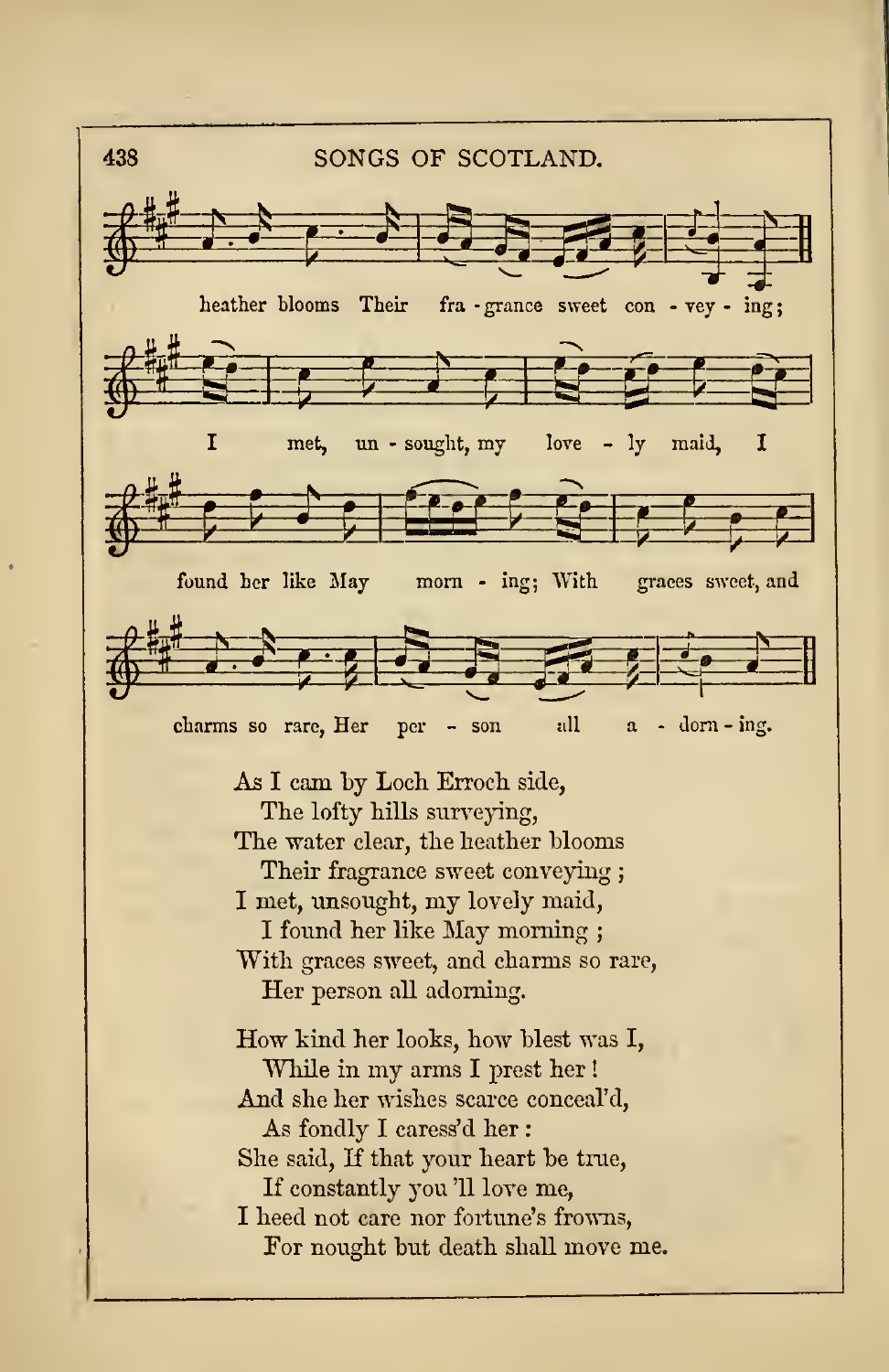438songs of SCOTLAND. SONGS OF SCOTLAND.  $\frac{1}{2}$   $\frac{1}{2}$   $\frac{1}{2}$   $\frac{1}{2}$   $\frac{1}{2}$   $\frac{1}{2}$   $\frac{1}{2}$   $\frac{1}{2}$   $\frac{1}{2}$   $\frac{1}{2}$   $\frac{1}{2}$   $\frac{1}{2}$ heather blooms Their fra -grance sweet con - vey - ing;  $\frac{1}{2}$  $9 - 5$  $P$   $\rightarrow$   $P$   $\rightarrow$   $P$ met, un - sought, my love - ly maid, <sup>I</sup>  $\int_{\text{found her like May}}^{\frac{1}{n}}$  $\overline{\phantom{a}}$ fert gre **Example 1 Contract of the Contract of the Contract of the Contract of Contract of Contract of Contract of Contract of Contract of Contract of Contract of Contract of Contract of Contract of Contract of Contract of Contr** my love - ly maid,  $\begin{array}{c|c} \text{I} & \text{I} & \text{I} & \text{I} & \text{I} & \text{I} & \text{I} & \text{I} & \text{I} & \text{I} & \text{I} & \text{I} & \text{I} & \text{I} & \text{I} & \text{I} & \text{I} & \text{I} & \text{I} & \text{I} & \text{I} & \text{I} & \text{I} & \text{I} & \text{I} & \text{I} & \text{I} & \text{I} & \text{I} & \text{I} & \text{I} & \text{I} &$ found her like May morn - ing; With graces sweet, and charms so rare, Her per - son all  $a$  - dorn-ing. As I cam by Loch Erroch side, The lofty hills surveying, The water clear, the heather blooms Their fragrance sweet conveying ; <sup>I</sup> met, unsought, my lovely maid, <sup>I</sup> found her like May morning ; With graces sweet, and charms so rare, Her person all adorning. How kind her looks, how blest was I, While in my arms <sup>I</sup> prest her ! And she her wishes scarce conceal'd, As fondly <sup>I</sup> caress'd her She said, If that your heart be true, If constantly you '11 love me, I heed not care nor fortune's frowns, For nousht but death shall move me.